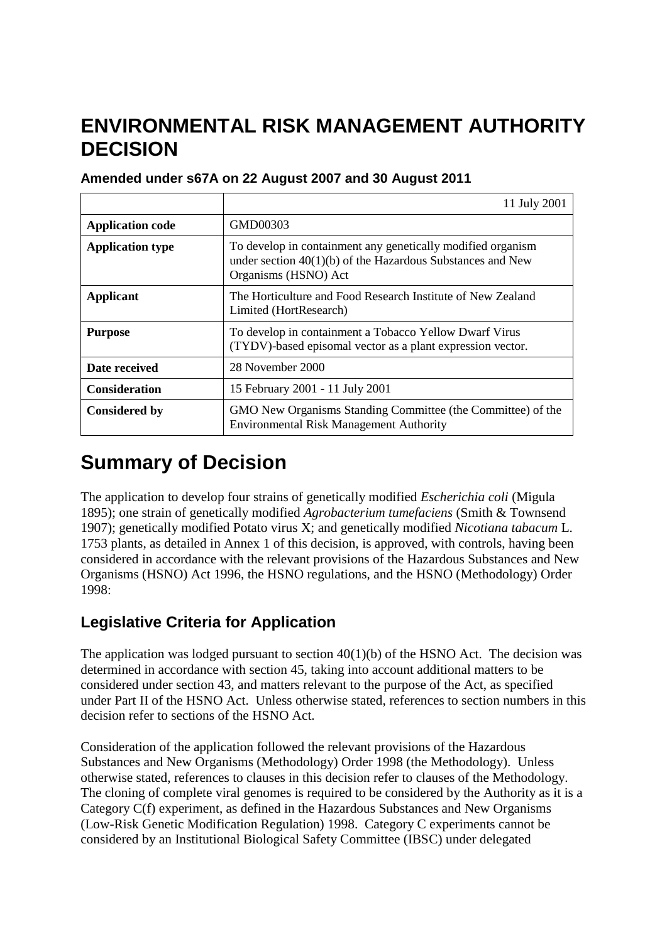# **ENVIRONMENTAL RISK MANAGEMENT AUTHORITY DECISION**

|                         | 11 July 2001                                                                                                                                        |
|-------------------------|-----------------------------------------------------------------------------------------------------------------------------------------------------|
| <b>Application code</b> | GMD00303                                                                                                                                            |
| <b>Application type</b> | To develop in containment any genetically modified organism<br>under section $40(1)(b)$ of the Hazardous Substances and New<br>Organisms (HSNO) Act |
| Applicant               | The Horticulture and Food Research Institute of New Zealand<br>Limited (HortResearch)                                                               |
| <b>Purpose</b>          | To develop in containment a Tobacco Yellow Dwarf Virus<br>(TYDV)-based episomal vector as a plant expression vector.                                |
| Date received           | 28 November 2000                                                                                                                                    |
| <b>Consideration</b>    | 15 February 2001 - 11 July 2001                                                                                                                     |
| <b>Considered by</b>    | GMO New Organisms Standing Committee (the Committee) of the<br><b>Environmental Risk Management Authority</b>                                       |

# **Amended under s67A on 22 August 2007 and 30 August 2011**

# **Summary of Decision**

The application to develop four strains of genetically modified *Escherichia coli* (Migula 1895); one strain of genetically modified *Agrobacterium tumefaciens* (Smith & Townsend 1907); genetically modified Potato virus X; and genetically modified *Nicotiana tabacum* L. 1753 plants, as detailed in Annex 1 of this decision, is approved, with controls, having been considered in accordance with the relevant provisions of the Hazardous Substances and New Organisms (HSNO) Act 1996, the HSNO regulations, and the HSNO (Methodology) Order 1998:

# **Legislative Criteria for Application**

The application was lodged pursuant to section  $40(1)(b)$  of the HSNO Act. The decision was determined in accordance with section 45, taking into account additional matters to be considered under section 43, and matters relevant to the purpose of the Act, as specified under Part II of the HSNO Act. Unless otherwise stated, references to section numbers in this decision refer to sections of the HSNO Act.

Consideration of the application followed the relevant provisions of the Hazardous Substances and New Organisms (Methodology) Order 1998 (the Methodology). Unless otherwise stated, references to clauses in this decision refer to clauses of the Methodology. The cloning of complete viral genomes is required to be considered by the Authority as it is a Category C(f) experiment, as defined in the Hazardous Substances and New Organisms (Low-Risk Genetic Modification Regulation) 1998. Category C experiments cannot be considered by an Institutional Biological Safety Committee (IBSC) under delegated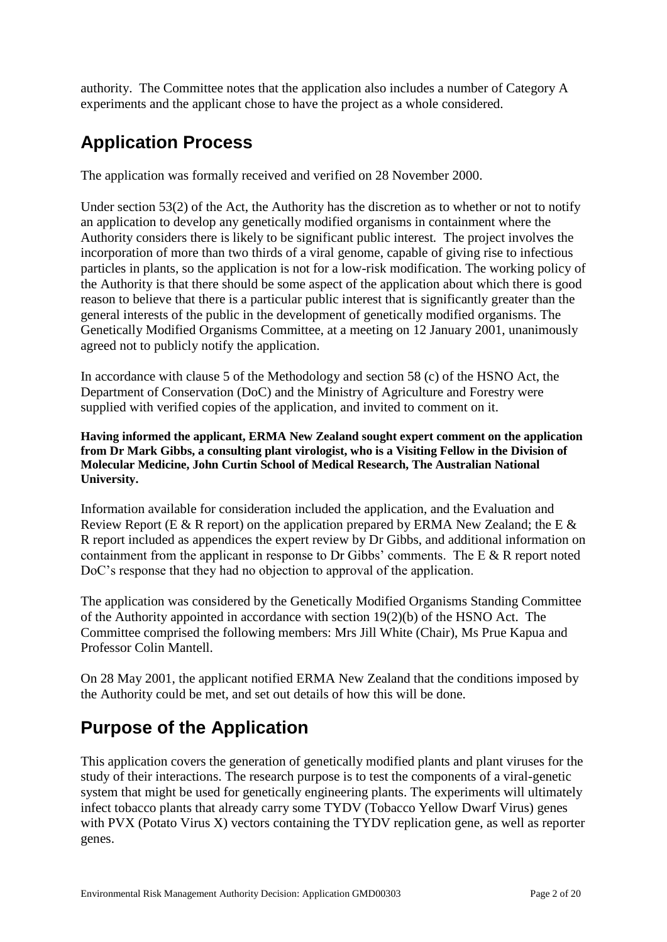authority. The Committee notes that the application also includes a number of Category A experiments and the applicant chose to have the project as a whole considered.

# **Application Process**

The application was formally received and verified on 28 November 2000.

Under section  $53(2)$  of the Act, the Authority has the discretion as to whether or not to notify an application to develop any genetically modified organisms in containment where the Authority considers there is likely to be significant public interest*.* The project involves the incorporation of more than two thirds of a viral genome, capable of giving rise to infectious particles in plants, so the application is not for a low-risk modification. The working policy of the Authority is that there should be some aspect of the application about which there is good reason to believe that there is a particular public interest that is significantly greater than the general interests of the public in the development of genetically modified organisms. The Genetically Modified Organisms Committee, at a meeting on 12 January 2001, unanimously agreed not to publicly notify the application.

In accordance with clause 5 of the Methodology and section 58 (c) of the HSNO Act, the Department of Conservation (DoC) and the Ministry of Agriculture and Forestry were supplied with verified copies of the application, and invited to comment on it.

**Having informed the applicant, ERMA New Zealand sought expert comment on the application from Dr Mark Gibbs, a consulting plant virologist, who is a Visiting Fellow in the Division of Molecular Medicine, John Curtin School of Medical Research, The Australian National University.** 

Information available for consideration included the application, and the Evaluation and Review Report (E & R report) on the application prepared by ERMA New Zealand; the E  $\&$ R report included as appendices the expert review by Dr Gibbs, and additional information on containment from the applicant in response to Dr Gibbs' comments. The E  $\&$  R report noted DoC's response that they had no objection to approval of the application.

The application was considered by the Genetically Modified Organisms Standing Committee of the Authority appointed in accordance with section 19(2)(b) of the HSNO Act. The Committee comprised the following members: Mrs Jill White (Chair), Ms Prue Kapua and Professor Colin Mantell.

On 28 May 2001, the applicant notified ERMA New Zealand that the conditions imposed by the Authority could be met, and set out details of how this will be done.

# **Purpose of the Application**

This application covers the generation of genetically modified plants and plant viruses for the study of their interactions. The research purpose is to test the components of a viral-genetic system that might be used for genetically engineering plants. The experiments will ultimately infect tobacco plants that already carry some TYDV (Tobacco Yellow Dwarf Virus) genes with PVX (Potato Virus X) vectors containing the TYDV replication gene, as well as reporter genes.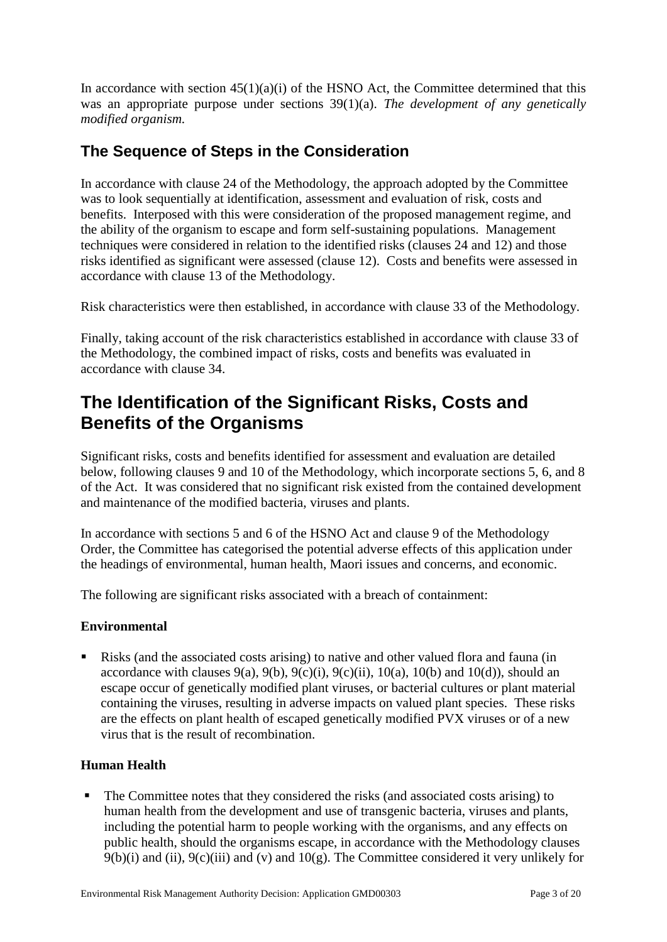In accordance with section  $45(1)(a)(i)$  of the HSNO Act, the Committee determined that this was an appropriate purpose under sections 39(1)(a). *The development of any genetically modified organism.*

# **The Sequence of Steps in the Consideration**

In accordance with clause 24 of the Methodology, the approach adopted by the Committee was to look sequentially at identification, assessment and evaluation of risk, costs and benefits. Interposed with this were consideration of the proposed management regime, and the ability of the organism to escape and form self-sustaining populations. Management techniques were considered in relation to the identified risks (clauses 24 and 12) and those risks identified as significant were assessed (clause 12). Costs and benefits were assessed in accordance with clause 13 of the Methodology.

Risk characteristics were then established, in accordance with clause 33 of the Methodology.

Finally, taking account of the risk characteristics established in accordance with clause 33 of the Methodology, the combined impact of risks, costs and benefits was evaluated in accordance with clause 34.

# **The Identification of the Significant Risks, Costs and Benefits of the Organisms**

Significant risks, costs and benefits identified for assessment and evaluation are detailed below, following clauses 9 and 10 of the Methodology, which incorporate sections 5, 6, and 8 of the Act. It was considered that no significant risk existed from the contained development and maintenance of the modified bacteria, viruses and plants.

In accordance with sections 5 and 6 of the HSNO Act and clause 9 of the Methodology Order, the Committee has categorised the potential adverse effects of this application under the headings of environmental, human health, Maori issues and concerns, and economic.

The following are significant risks associated with a breach of containment:

## **Environmental**

 Risks (and the associated costs arising) to native and other valued flora and fauna (in accordance with clauses  $9(a)$ ,  $9(b)$ ,  $9(c)(i)$ ,  $9(c)(ii)$ ,  $10(a)$ ,  $10(b)$  and  $10(d)$ ), should an escape occur of genetically modified plant viruses, or bacterial cultures or plant material containing the viruses, resulting in adverse impacts on valued plant species. These risks are the effects on plant health of escaped genetically modified PVX viruses or of a new virus that is the result of recombination.

## **Human Health**

• The Committee notes that they considered the risks (and associated costs arising) to human health from the development and use of transgenic bacteria, viruses and plants, including the potential harm to people working with the organisms, and any effects on public health, should the organisms escape, in accordance with the Methodology clauses  $9(b)(i)$  and (ii),  $9(c)(iii)$  and (v) and  $10(g)$ . The Committee considered it very unlikely for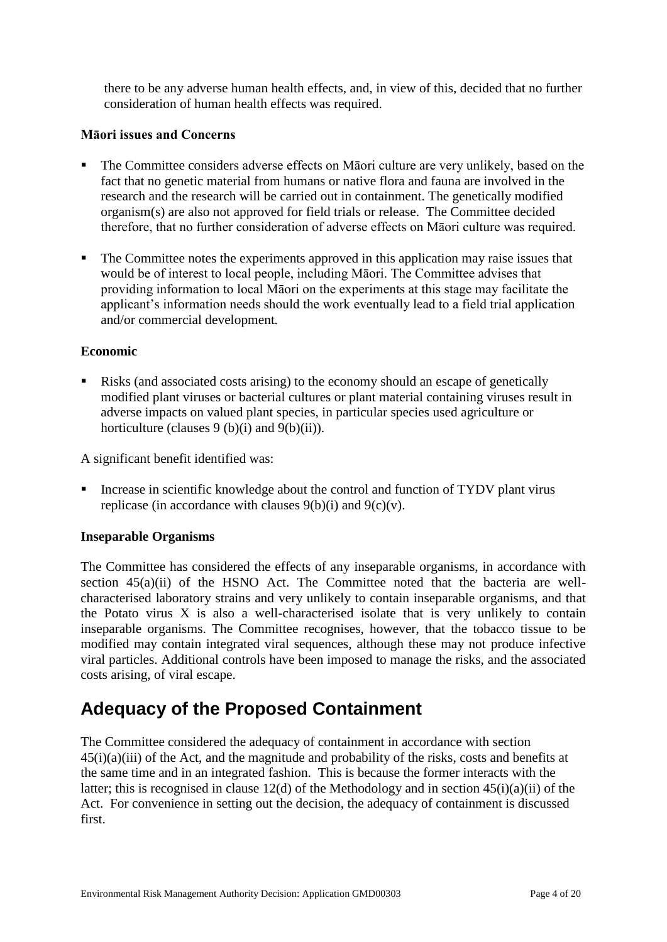there to be any adverse human health effects, and, in view of this, decided that no further consideration of human health effects was required.

#### **Māori issues and Concerns**

- The Committee considers adverse effects on Māori culture are very unlikely, based on the fact that no genetic material from humans or native flora and fauna are involved in the research and the research will be carried out in containment. The genetically modified organism(s) are also not approved for field trials or release. The Committee decided therefore, that no further consideration of adverse effects on Māori culture was required.
- The Committee notes the experiments approved in this application may raise issues that would be of interest to local people, including Māori. The Committee advises that providing information to local Māori on the experiments at this stage may facilitate the applicant's information needs should the work eventually lead to a field trial application and/or commercial development*.*

#### **Economic**

Risks (and associated costs arising) to the economy should an escape of genetically modified plant viruses or bacterial cultures or plant material containing viruses result in adverse impacts on valued plant species, in particular species used agriculture or horticulture (clauses  $9(b)(i)$  and  $9(b)(ii)$ ).

A significant benefit identified was:

■ Increase in scientific knowledge about the control and function of TYDV plant virus replicase (in accordance with clauses 9(b)(i) and 9(c)(v).

#### **Inseparable Organisms**

The Committee has considered the effects of any inseparable organisms, in accordance with section  $45(a)(ii)$  of the HSNO Act. The Committee noted that the bacteria are wellcharacterised laboratory strains and very unlikely to contain inseparable organisms, and that the Potato virus X is also a well-characterised isolate that is very unlikely to contain inseparable organisms. The Committee recognises, however, that the tobacco tissue to be modified may contain integrated viral sequences, although these may not produce infective viral particles. Additional controls have been imposed to manage the risks, and the associated costs arising, of viral escape.

# **Adequacy of the Proposed Containment**

The Committee considered the adequacy of containment in accordance with section 45(i)(a)(iii) of the Act, and the magnitude and probability of the risks, costs and benefits at the same time and in an integrated fashion. This is because the former interacts with the latter; this is recognised in clause 12(d) of the Methodology and in section 45(i)(a)(ii) of the Act. For convenience in setting out the decision, the adequacy of containment is discussed first.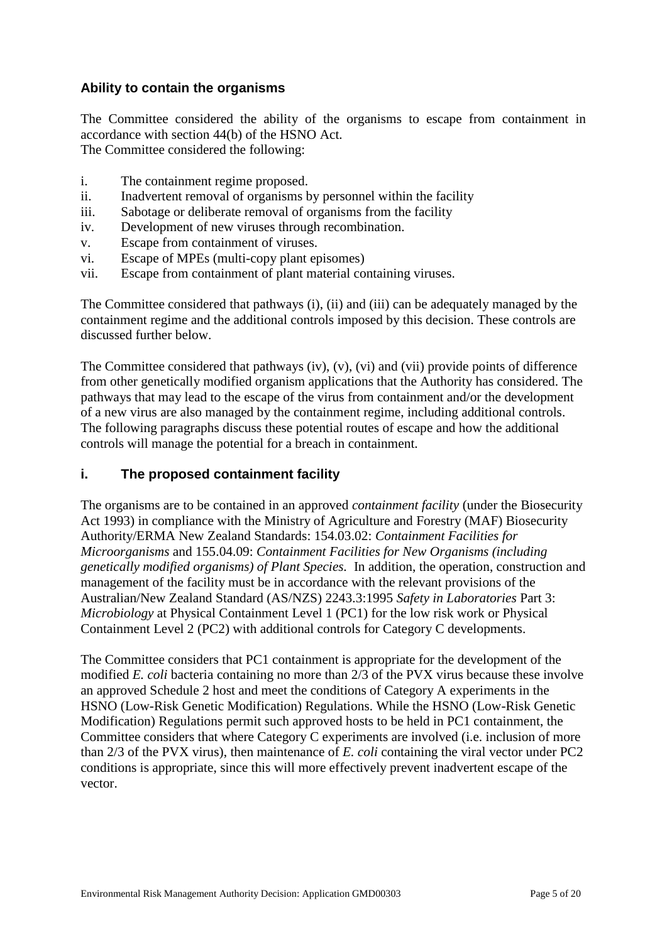## **Ability to contain the organisms**

The Committee considered the ability of the organisms to escape from containment in accordance with section 44(b) of the HSNO Act. The Committee considered the following:

- i. The containment regime proposed.
- ii. Inadvertent removal of organisms by personnel within the facility
- iii. Sabotage or deliberate removal of organisms from the facility
- iv. Development of new viruses through recombination.
- v. Escape from containment of viruses.
- vi. Escape of MPEs (multi-copy plant episomes)
- vii. Escape from containment of plant material containing viruses.

The Committee considered that pathways (i), (ii) and (iii) can be adequately managed by the containment regime and the additional controls imposed by this decision. These controls are discussed further below.

The Committee considered that pathways (iv), (v), (vi) and (vii) provide points of difference from other genetically modified organism applications that the Authority has considered. The pathways that may lead to the escape of the virus from containment and/or the development of a new virus are also managed by the containment regime, including additional controls. The following paragraphs discuss these potential routes of escape and how the additional controls will manage the potential for a breach in containment.

## **i. The proposed containment facility**

The organisms are to be contained in an approved *containment facility* (under the Biosecurity Act 1993) in compliance with the Ministry of Agriculture and Forestry (MAF) Biosecurity Authority/ERMA New Zealand Standards: 154.03.02: *Containment Facilities for Microorganisms* and 155.04.09: *Containment Facilities for New Organisms (including genetically modified organisms) of Plant Species.* In addition, the operation, construction and management of the facility must be in accordance with the relevant provisions of the Australian/New Zealand Standard (AS/NZS) 2243.3:1995 *Safety in Laboratories* Part 3: *Microbiology* at Physical Containment Level 1 (PC1) for the low risk work or Physical Containment Level 2 (PC2) with additional controls for Category C developments.

The Committee considers that PC1 containment is appropriate for the development of the modified *E. coli* bacteria containing no more than 2/3 of the PVX virus because these involve an approved Schedule 2 host and meet the conditions of Category A experiments in the HSNO (Low-Risk Genetic Modification) Regulations. While the HSNO (Low-Risk Genetic Modification) Regulations permit such approved hosts to be held in PC1 containment, the Committee considers that where Category C experiments are involved (i.e. inclusion of more than 2/3 of the PVX virus), then maintenance of *E. coli* containing the viral vector under PC2 conditions is appropriate, since this will more effectively prevent inadvertent escape of the vector.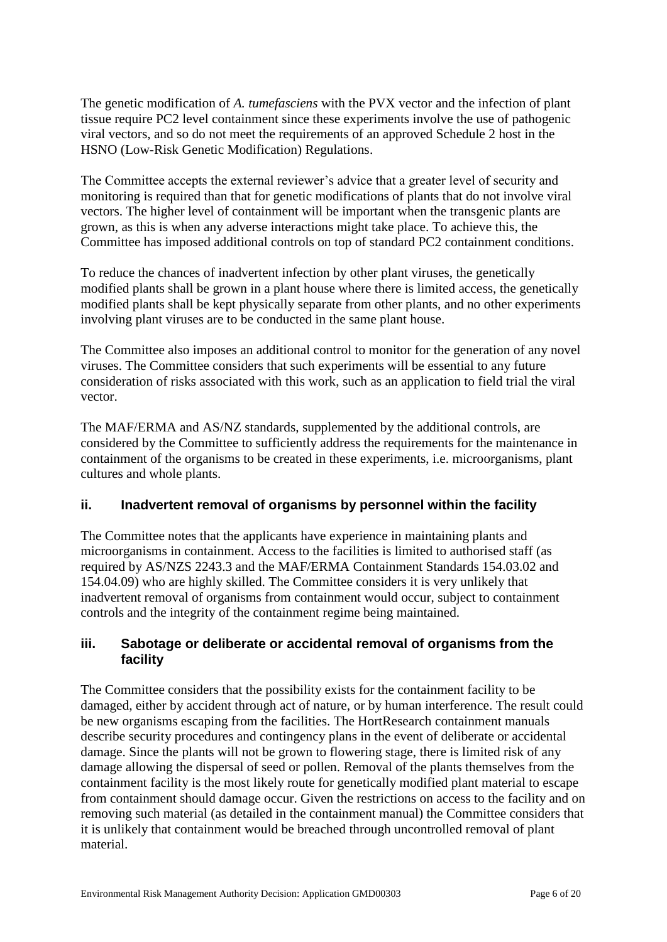The genetic modification of *A. tumefasciens* with the PVX vector and the infection of plant tissue require PC2 level containment since these experiments involve the use of pathogenic viral vectors, and so do not meet the requirements of an approved Schedule 2 host in the HSNO (Low-Risk Genetic Modification) Regulations.

The Committee accepts the external reviewer's advice that a greater level of security and monitoring is required than that for genetic modifications of plants that do not involve viral vectors. The higher level of containment will be important when the transgenic plants are grown, as this is when any adverse interactions might take place. To achieve this, the Committee has imposed additional controls on top of standard PC2 containment conditions.

To reduce the chances of inadvertent infection by other plant viruses, the genetically modified plants shall be grown in a plant house where there is limited access, the genetically modified plants shall be kept physically separate from other plants, and no other experiments involving plant viruses are to be conducted in the same plant house.

The Committee also imposes an additional control to monitor for the generation of any novel viruses. The Committee considers that such experiments will be essential to any future consideration of risks associated with this work, such as an application to field trial the viral vector.

The MAF/ERMA and AS/NZ standards, supplemented by the additional controls, are considered by the Committee to sufficiently address the requirements for the maintenance in containment of the organisms to be created in these experiments, i.e. microorganisms, plant cultures and whole plants.

# **ii. Inadvertent removal of organisms by personnel within the facility**

The Committee notes that the applicants have experience in maintaining plants and microorganisms in containment. Access to the facilities is limited to authorised staff (as required by AS/NZS 2243.3 and the MAF/ERMA Containment Standards 154.03.02 and 154.04.09) who are highly skilled. The Committee considers it is very unlikely that inadvertent removal of organisms from containment would occur, subject to containment controls and the integrity of the containment regime being maintained.

## **iii. Sabotage or deliberate or accidental removal of organisms from the facility**

The Committee considers that the possibility exists for the containment facility to be damaged, either by accident through act of nature, or by human interference. The result could be new organisms escaping from the facilities. The HortResearch containment manuals describe security procedures and contingency plans in the event of deliberate or accidental damage. Since the plants will not be grown to flowering stage, there is limited risk of any damage allowing the dispersal of seed or pollen. Removal of the plants themselves from the containment facility is the most likely route for genetically modified plant material to escape from containment should damage occur. Given the restrictions on access to the facility and on removing such material (as detailed in the containment manual) the Committee considers that it is unlikely that containment would be breached through uncontrolled removal of plant material.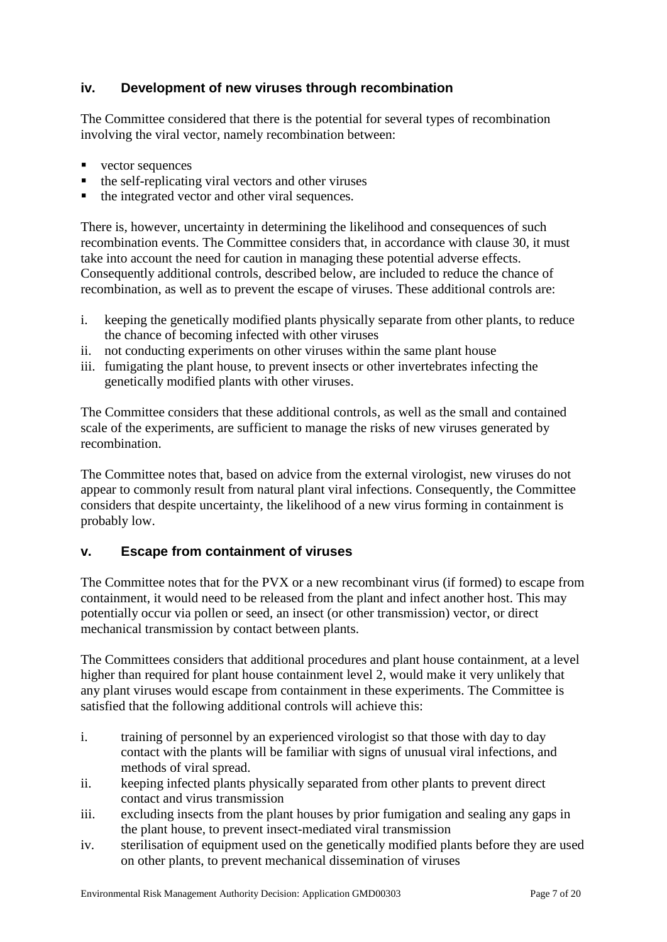# **iv. Development of new viruses through recombination**

The Committee considered that there is the potential for several types of recombination involving the viral vector, namely recombination between:

- vector sequences
- the self-replicating viral vectors and other viruses
- $\blacksquare$  the integrated vector and other viral sequences.

There is, however, uncertainty in determining the likelihood and consequences of such recombination events. The Committee considers that, in accordance with clause 30, it must take into account the need for caution in managing these potential adverse effects. Consequently additional controls, described below, are included to reduce the chance of recombination, as well as to prevent the escape of viruses. These additional controls are:

- i. keeping the genetically modified plants physically separate from other plants, to reduce the chance of becoming infected with other viruses
- ii. not conducting experiments on other viruses within the same plant house
- iii. fumigating the plant house, to prevent insects or other invertebrates infecting the genetically modified plants with other viruses.

The Committee considers that these additional controls, as well as the small and contained scale of the experiments, are sufficient to manage the risks of new viruses generated by recombination.

The Committee notes that, based on advice from the external virologist, new viruses do not appear to commonly result from natural plant viral infections. Consequently, the Committee considers that despite uncertainty, the likelihood of a new virus forming in containment is probably low.

## **v. Escape from containment of viruses**

The Committee notes that for the PVX or a new recombinant virus (if formed) to escape from containment, it would need to be released from the plant and infect another host. This may potentially occur via pollen or seed, an insect (or other transmission) vector, or direct mechanical transmission by contact between plants.

The Committees considers that additional procedures and plant house containment, at a level higher than required for plant house containment level 2, would make it very unlikely that any plant viruses would escape from containment in these experiments. The Committee is satisfied that the following additional controls will achieve this:

- i. training of personnel by an experienced virologist so that those with day to day contact with the plants will be familiar with signs of unusual viral infections, and methods of viral spread.
- ii. keeping infected plants physically separated from other plants to prevent direct contact and virus transmission
- iii. excluding insects from the plant houses by prior fumigation and sealing any gaps in the plant house, to prevent insect-mediated viral transmission
- iv. sterilisation of equipment used on the genetically modified plants before they are used on other plants, to prevent mechanical dissemination of viruses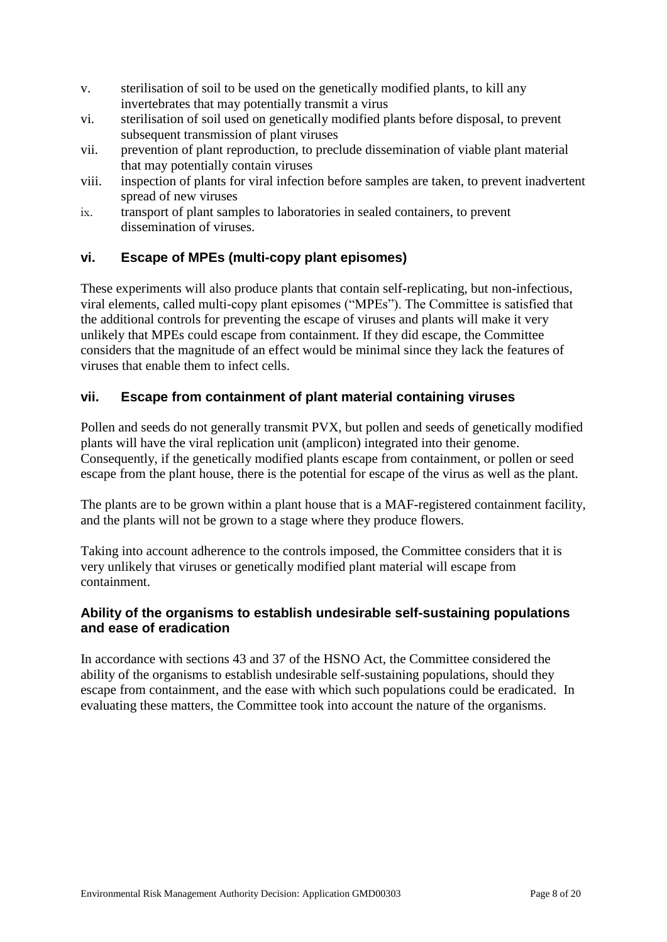- v. sterilisation of soil to be used on the genetically modified plants, to kill any invertebrates that may potentially transmit a virus
- vi. sterilisation of soil used on genetically modified plants before disposal, to prevent subsequent transmission of plant viruses
- vii. prevention of plant reproduction, to preclude dissemination of viable plant material that may potentially contain viruses
- viii. inspection of plants for viral infection before samples are taken, to prevent inadvertent spread of new viruses
- ix. transport of plant samples to laboratories in sealed containers, to prevent dissemination of viruses.

## **vi. Escape of MPEs (multi-copy plant episomes)**

These experiments will also produce plants that contain self-replicating, but non-infectious, viral elements, called multi-copy plant episomes ("MPEs"). The Committee is satisfied that the additional controls for preventing the escape of viruses and plants will make it very unlikely that MPEs could escape from containment. If they did escape, the Committee considers that the magnitude of an effect would be minimal since they lack the features of viruses that enable them to infect cells.

## **vii. Escape from containment of plant material containing viruses**

Pollen and seeds do not generally transmit PVX, but pollen and seeds of genetically modified plants will have the viral replication unit (amplicon) integrated into their genome. Consequently, if the genetically modified plants escape from containment, or pollen or seed escape from the plant house, there is the potential for escape of the virus as well as the plant.

The plants are to be grown within a plant house that is a MAF-registered containment facility, and the plants will not be grown to a stage where they produce flowers.

Taking into account adherence to the controls imposed, the Committee considers that it is very unlikely that viruses or genetically modified plant material will escape from containment.

## **Ability of the organisms to establish undesirable self-sustaining populations and ease of eradication**

In accordance with sections 43 and 37 of the HSNO Act, the Committee considered the ability of the organisms to establish undesirable self-sustaining populations, should they escape from containment, and the ease with which such populations could be eradicated. In evaluating these matters, the Committee took into account the nature of the organisms.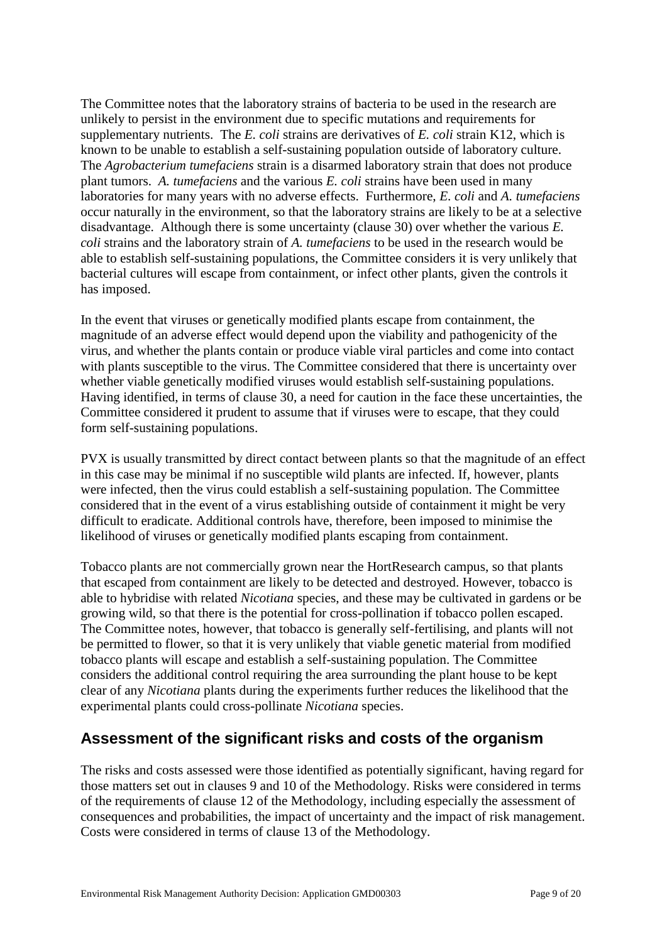The Committee notes that the laboratory strains of bacteria to be used in the research are unlikely to persist in the environment due to specific mutations and requirements for supplementary nutrients. The *E. coli* strains are derivatives of *E. coli* strain K12, which is known to be unable to establish a self-sustaining population outside of laboratory culture. The *Agrobacterium tumefaciens* strain is a disarmed laboratory strain that does not produce plant tumors. *A. tumefaciens* and the various *E. coli* strains have been used in many laboratories for many years with no adverse effects. Furthermore, *E. coli* and *A. tumefaciens* occur naturally in the environment, so that the laboratory strains are likely to be at a selective disadvantage. Although there is some uncertainty (clause 30) over whether the various *E. coli* strains and the laboratory strain of *A. tumefaciens* to be used in the research would be able to establish self-sustaining populations, the Committee considers it is very unlikely that bacterial cultures will escape from containment, or infect other plants, given the controls it has imposed.

In the event that viruses or genetically modified plants escape from containment, the magnitude of an adverse effect would depend upon the viability and pathogenicity of the virus, and whether the plants contain or produce viable viral particles and come into contact with plants susceptible to the virus. The Committee considered that there is uncertainty over whether viable genetically modified viruses would establish self-sustaining populations. Having identified, in terms of clause 30, a need for caution in the face these uncertainties, the Committee considered it prudent to assume that if viruses were to escape, that they could form self-sustaining populations.

PVX is usually transmitted by direct contact between plants so that the magnitude of an effect in this case may be minimal if no susceptible wild plants are infected. If, however, plants were infected, then the virus could establish a self-sustaining population. The Committee considered that in the event of a virus establishing outside of containment it might be very difficult to eradicate. Additional controls have, therefore, been imposed to minimise the likelihood of viruses or genetically modified plants escaping from containment.

Tobacco plants are not commercially grown near the HortResearch campus, so that plants that escaped from containment are likely to be detected and destroyed. However, tobacco is able to hybridise with related *Nicotiana* species, and these may be cultivated in gardens or be growing wild, so that there is the potential for cross-pollination if tobacco pollen escaped. The Committee notes, however, that tobacco is generally self-fertilising, and plants will not be permitted to flower, so that it is very unlikely that viable genetic material from modified tobacco plants will escape and establish a self-sustaining population. The Committee considers the additional control requiring the area surrounding the plant house to be kept clear of any *Nicotiana* plants during the experiments further reduces the likelihood that the experimental plants could cross-pollinate *Nicotiana* species.

# **Assessment of the significant risks and costs of the organism**

The risks and costs assessed were those identified as potentially significant, having regard for those matters set out in clauses 9 and 10 of the Methodology. Risks were considered in terms of the requirements of clause 12 of the Methodology, including especially the assessment of consequences and probabilities, the impact of uncertainty and the impact of risk management. Costs were considered in terms of clause 13 of the Methodology.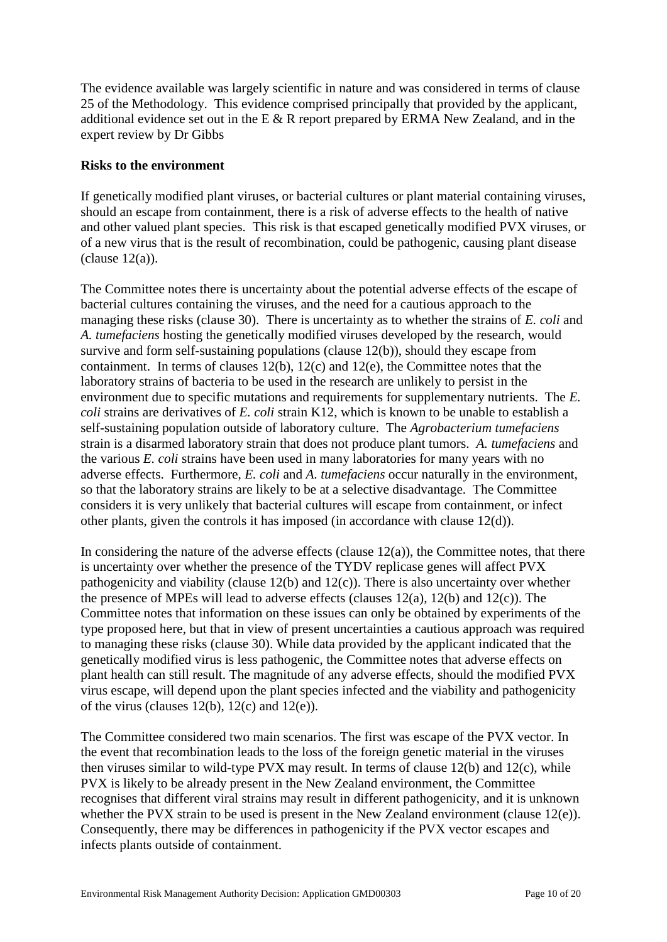The evidence available was largely scientific in nature and was considered in terms of clause 25 of the Methodology. This evidence comprised principally that provided by the applicant, additional evidence set out in the E & R report prepared by ERMA New Zealand, and in the expert review by Dr Gibbs

#### **Risks to the environment**

If genetically modified plant viruses, or bacterial cultures or plant material containing viruses, should an escape from containment, there is a risk of adverse effects to the health of native and other valued plant species. This risk is that escaped genetically modified PVX viruses, or of a new virus that is the result of recombination, could be pathogenic, causing plant disease  $clause 12(a)$ ).

The Committee notes there is uncertainty about the potential adverse effects of the escape of bacterial cultures containing the viruses, and the need for a cautious approach to the managing these risks (clause 30). There is uncertainty as to whether the strains of *E. coli* and *A. tumefaciens* hosting the genetically modified viruses developed by the research, would survive and form self-sustaining populations (clause 12(b)), should they escape from containment. In terms of clauses 12(b), 12(c) and 12(e), the Committee notes that the laboratory strains of bacteria to be used in the research are unlikely to persist in the environment due to specific mutations and requirements for supplementary nutrients. The *E. coli* strains are derivatives of *E. coli* strain K12, which is known to be unable to establish a self-sustaining population outside of laboratory culture. The *Agrobacterium tumefaciens* strain is a disarmed laboratory strain that does not produce plant tumors. *A. tumefaciens* and the various *E. coli* strains have been used in many laboratories for many years with no adverse effects. Furthermore, *E. coli* and *A. tumefaciens* occur naturally in the environment, so that the laboratory strains are likely to be at a selective disadvantage. The Committee considers it is very unlikely that bacterial cultures will escape from containment, or infect other plants, given the controls it has imposed (in accordance with clause 12(d)).

In considering the nature of the adverse effects (clause  $12(a)$ ), the Committee notes, that there is uncertainty over whether the presence of the TYDV replicase genes will affect PVX pathogenicity and viability (clause 12(b) and 12(c)). There is also uncertainty over whether the presence of MPEs will lead to adverse effects (clauses 12(a), 12(b) and 12(c)). The Committee notes that information on these issues can only be obtained by experiments of the type proposed here, but that in view of present uncertainties a cautious approach was required to managing these risks (clause 30). While data provided by the applicant indicated that the genetically modified virus is less pathogenic, the Committee notes that adverse effects on plant health can still result. The magnitude of any adverse effects, should the modified PVX virus escape, will depend upon the plant species infected and the viability and pathogenicity of the virus (clauses  $12(b)$ ,  $12(c)$  and  $12(e)$ ).

The Committee considered two main scenarios. The first was escape of the PVX vector. In the event that recombination leads to the loss of the foreign genetic material in the viruses then viruses similar to wild-type PVX may result. In terms of clause 12(b) and 12(c), while PVX is likely to be already present in the New Zealand environment, the Committee recognises that different viral strains may result in different pathogenicity, and it is unknown whether the PVX strain to be used is present in the New Zealand environment (clause 12(e)). Consequently, there may be differences in pathogenicity if the PVX vector escapes and infects plants outside of containment.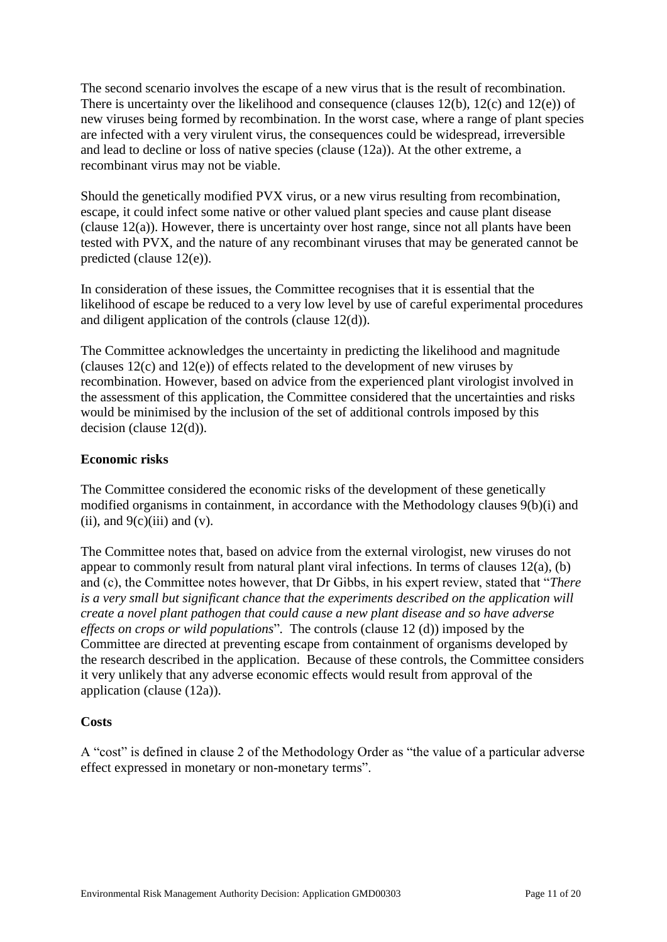The second scenario involves the escape of a new virus that is the result of recombination. There is uncertainty over the likelihood and consequence (clauses 12(b), 12(c) and 12(e)) of new viruses being formed by recombination. In the worst case, where a range of plant species are infected with a very virulent virus, the consequences could be widespread, irreversible and lead to decline or loss of native species (clause (12a)). At the other extreme, a recombinant virus may not be viable.

Should the genetically modified PVX virus, or a new virus resulting from recombination, escape, it could infect some native or other valued plant species and cause plant disease (clause 12(a)). However, there is uncertainty over host range, since not all plants have been tested with PVX, and the nature of any recombinant viruses that may be generated cannot be predicted (clause 12(e)).

In consideration of these issues, the Committee recognises that it is essential that the likelihood of escape be reduced to a very low level by use of careful experimental procedures and diligent application of the controls (clause 12(d)).

The Committee acknowledges the uncertainty in predicting the likelihood and magnitude (clauses 12(c) and 12(e)) of effects related to the development of new viruses by recombination. However, based on advice from the experienced plant virologist involved in the assessment of this application, the Committee considered that the uncertainties and risks would be minimised by the inclusion of the set of additional controls imposed by this decision (clause 12(d)).

#### **Economic risks**

The Committee considered the economic risks of the development of these genetically modified organisms in containment, in accordance with the Methodology clauses 9(b)(i) and (ii), and  $9(c)$ (iii) and (v).

The Committee notes that, based on advice from the external virologist, new viruses do not appear to commonly result from natural plant viral infections. In terms of clauses 12(a), (b) and (c), the Committee notes however, that Dr Gibbs, in his expert review, stated that "*There is a very small but significant chance that the experiments described on the application will create a novel plant pathogen that could cause a new plant disease and so have adverse effects on crops or wild populations*"*.* The controls (clause 12 (d)) imposed by the Committee are directed at preventing escape from containment of organisms developed by the research described in the application. Because of these controls, the Committee considers it very unlikely that any adverse economic effects would result from approval of the application (clause (12a)).

#### **Costs**

A "cost" is defined in clause 2 of the Methodology Order as "the value of a particular adverse effect expressed in monetary or non-monetary terms".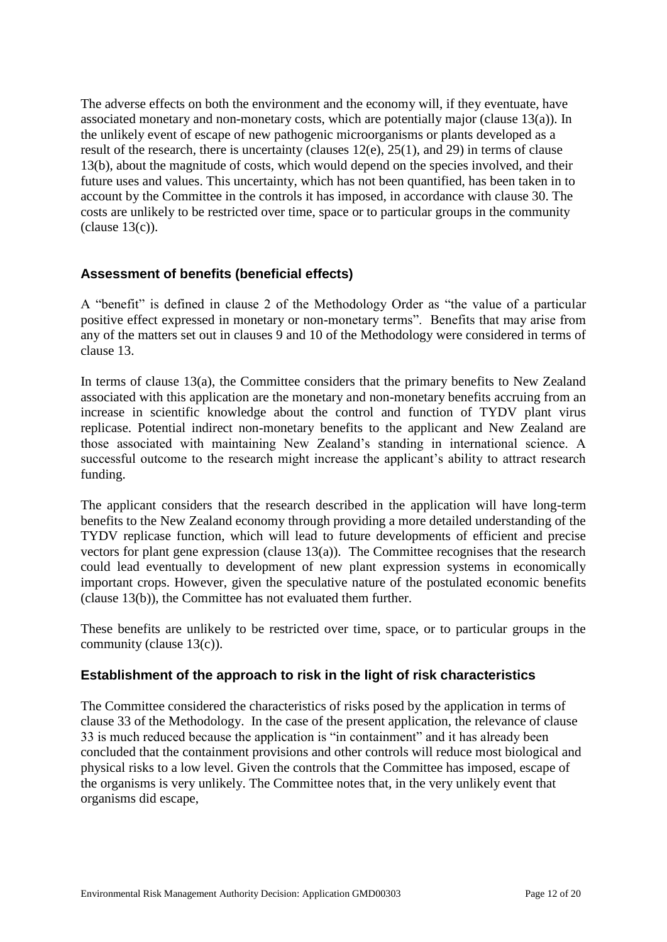The adverse effects on both the environment and the economy will, if they eventuate, have associated monetary and non-monetary costs, which are potentially major (clause 13(a)). In the unlikely event of escape of new pathogenic microorganisms or plants developed as a result of the research, there is uncertainty (clauses 12(e), 25(1), and 29) in terms of clause 13(b), about the magnitude of costs, which would depend on the species involved, and their future uses and values. This uncertainty, which has not been quantified, has been taken in to account by the Committee in the controls it has imposed, in accordance with clause 30. The costs are unlikely to be restricted over time, space or to particular groups in the community  $clause 13(c)$ ).

## **Assessment of benefits (beneficial effects)**

A "benefit" is defined in clause 2 of the Methodology Order as "the value of a particular positive effect expressed in monetary or non-monetary terms". Benefits that may arise from any of the matters set out in clauses 9 and 10 of the Methodology were considered in terms of clause 13.

In terms of clause 13(a), the Committee considers that the primary benefits to New Zealand associated with this application are the monetary and non-monetary benefits accruing from an increase in scientific knowledge about the control and function of TYDV plant virus replicase. Potential indirect non-monetary benefits to the applicant and New Zealand are those associated with maintaining New Zealand's standing in international science. A successful outcome to the research might increase the applicant's ability to attract research funding.

The applicant considers that the research described in the application will have long-term benefits to the New Zealand economy through providing a more detailed understanding of the TYDV replicase function, which will lead to future developments of efficient and precise vectors for plant gene expression (clause 13(a)). The Committee recognises that the research could lead eventually to development of new plant expression systems in economically important crops. However, given the speculative nature of the postulated economic benefits (clause 13(b)), the Committee has not evaluated them further.

These benefits are unlikely to be restricted over time, space, or to particular groups in the community (clause 13(c)).

## **Establishment of the approach to risk in the light of risk characteristics**

The Committee considered the characteristics of risks posed by the application in terms of clause 33 of the Methodology. In the case of the present application, the relevance of clause 33 is much reduced because the application is "in containment" and it has already been concluded that the containment provisions and other controls will reduce most biological and physical risks to a low level. Given the controls that the Committee has imposed, escape of the organisms is very unlikely. The Committee notes that, in the very unlikely event that organisms did escape,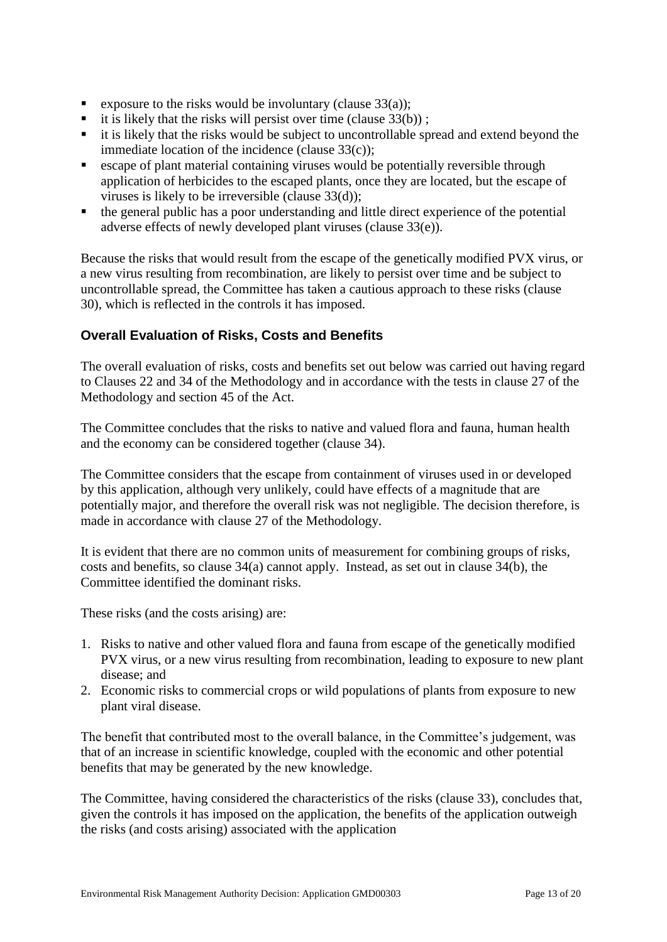- Exposure to the risks would be involuntary (clause  $33(a)$ );
- it is likely that the risks will persist over time (clause  $33(b)$ );
- it is likely that the risks would be subject to uncontrollable spread and extend beyond the immediate location of the incidence (clause 33(c));
- escape of plant material containing viruses would be potentially reversible through application of herbicides to the escaped plants, once they are located, but the escape of viruses is likely to be irreversible (clause 33(d));
- the general public has a poor understanding and little direct experience of the potential adverse effects of newly developed plant viruses (clause 33(e)).

Because the risks that would result from the escape of the genetically modified PVX virus, or a new virus resulting from recombination, are likely to persist over time and be subject to uncontrollable spread, the Committee has taken a cautious approach to these risks (clause 30), which is reflected in the controls it has imposed.

## **Overall Evaluation of Risks, Costs and Benefits**

The overall evaluation of risks, costs and benefits set out below was carried out having regard to Clauses 22 and 34 of the Methodology and in accordance with the tests in clause 27 of the Methodology and section 45 of the Act.

The Committee concludes that the risks to native and valued flora and fauna, human health and the economy can be considered together (clause 34).

The Committee considers that the escape from containment of viruses used in or developed by this application, although very unlikely, could have effects of a magnitude that are potentially major, and therefore the overall risk was not negligible. The decision therefore, is made in accordance with clause 27 of the Methodology.

It is evident that there are no common units of measurement for combining groups of risks, costs and benefits, so clause 34(a) cannot apply. Instead, as set out in clause 34(b), the Committee identified the dominant risks.

These risks (and the costs arising) are:

- 1. Risks to native and other valued flora and fauna from escape of the genetically modified PVX virus, or a new virus resulting from recombination, leading to exposure to new plant disease; and
- 2. Economic risks to commercial crops or wild populations of plants from exposure to new plant viral disease.

The benefit that contributed most to the overall balance, in the Committee's judgement, was that of an increase in scientific knowledge, coupled with the economic and other potential benefits that may be generated by the new knowledge.

The Committee, having considered the characteristics of the risks (clause 33), concludes that, given the controls it has imposed on the application, the benefits of the application outweigh the risks (and costs arising) associated with the application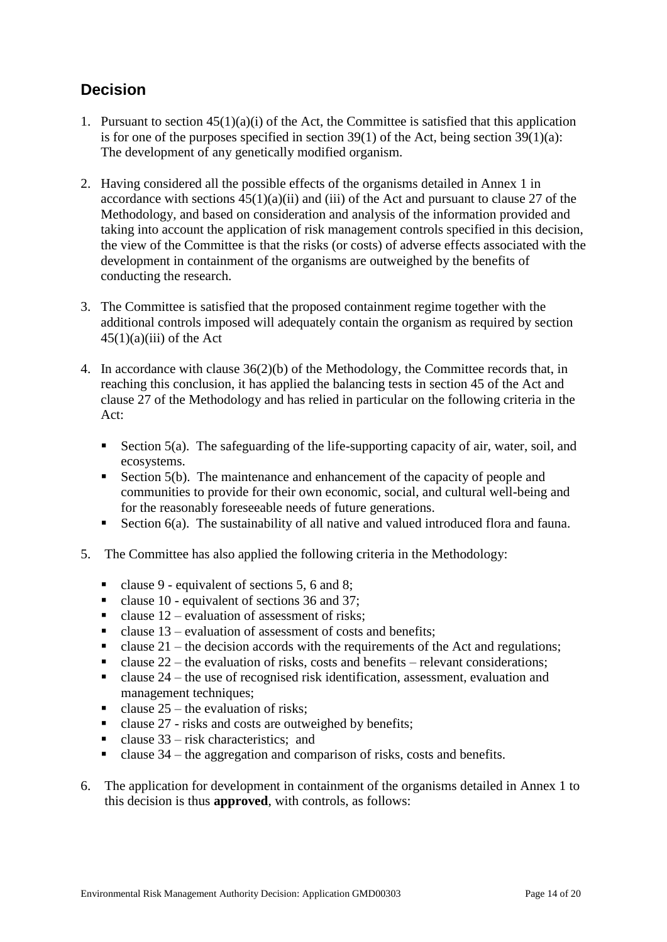# **Decision**

- 1. Pursuant to section 45(1)(a)(i) of the Act, the Committee is satisfied that this application is for one of the purposes specified in section  $39(1)$  of the Act, being section  $39(1)(a)$ : The development of any genetically modified organism.
- 2. Having considered all the possible effects of the organisms detailed in Annex 1 in accordance with sections  $45(1)(a)(ii)$  and (iii) of the Act and pursuant to clause 27 of the Methodology, and based on consideration and analysis of the information provided and taking into account the application of risk management controls specified in this decision, the view of the Committee is that the risks (or costs) of adverse effects associated with the development in containment of the organisms are outweighed by the benefits of conducting the research.
- 3. The Committee is satisfied that the proposed containment regime together with the additional controls imposed will adequately contain the organism as required by section  $45(1)(a)(iii)$  of the Act
- 4. In accordance with clause 36(2)(b) of the Methodology, the Committee records that, in reaching this conclusion, it has applied the balancing tests in section 45 of the Act and clause 27 of the Methodology and has relied in particular on the following criteria in the Act:
	- Section  $5(a)$ . The safeguarding of the life-supporting capacity of air, water, soil, and ecosystems.
	- Section 5(b). The maintenance and enhancement of the capacity of people and communities to provide for their own economic, social, and cultural well-being and for the reasonably foreseeable needs of future generations.
	- Section  $6(a)$ . The sustainability of all native and valued introduced flora and fauna.
- 5. The Committee has also applied the following criteria in the Methodology:
	- clause 9 equivalent of sections 5, 6 and 8;
	- clause 10 equivalent of sections 36 and 37;
	- E clause  $12$  evaluation of assessment of risks:
	- clause  $13$  evaluation of assessment of costs and benefits:
	- clause  $21$  the decision accords with the requirements of the Act and regulations;
	- clause  $22$  the evaluation of risks, costs and benefits relevant considerations;
	- clause  $24$  the use of recognised risk identification, assessment, evaluation and management techniques;
	- clause  $25$  the evaluation of risks;
	- Exercise 27 risks and costs are outweighed by benefits;
	- clause  $33 -$  risk characteristics; and
	- E clause  $34$  the aggregation and comparison of risks, costs and benefits.
- 6. The application for development in containment of the organisms detailed in Annex 1 to this decision is thus **approved**, with controls, as follows: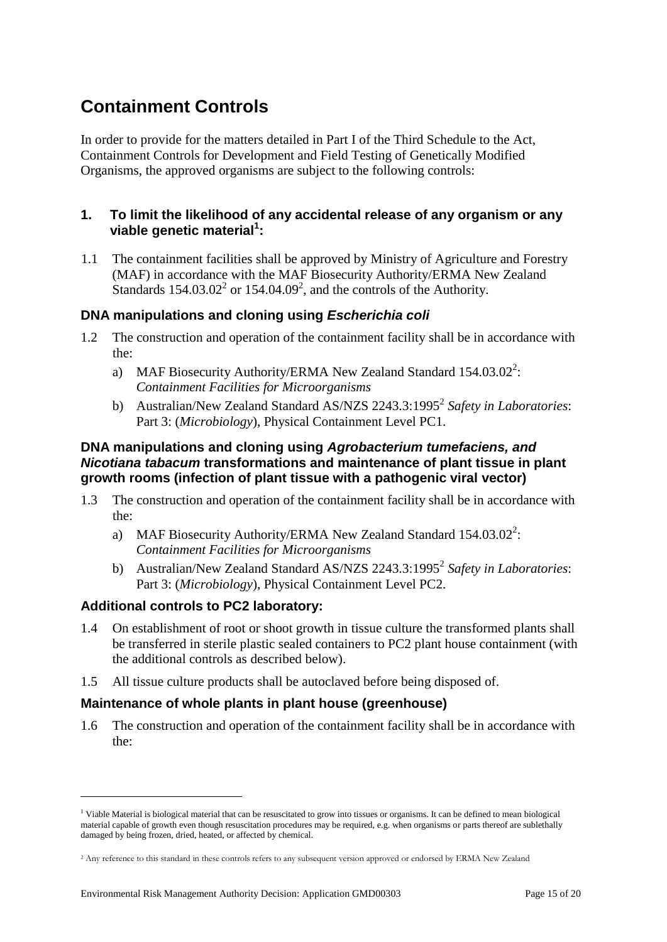# **Containment Controls**

In order to provide for the matters detailed in Part I of the Third Schedule to the Act, Containment Controls for Development and Field Testing of Genetically Modified Organisms, the approved organisms are subject to the following controls:

#### **1. To limit the likelihood of any accidental release of any organism or any viable genetic material<sup>1</sup> :**

1.1 The containment facilities shall be approved by Ministry of Agriculture and Forestry (MAF) in accordance with the MAF Biosecurity Authority/ERMA New Zealand Standards  $154.03.02^2$  or  $154.04.09^2$ , and the controls of the Authority.

#### **DNA manipulations and cloning using** *Escherichia coli*

- 1.2 The construction and operation of the containment facility shall be in accordance with the:
	- a) MAF Biosecurity Authority/ERMA New Zealand Standard  $154.03.02^2$ : *Containment Facilities for Microorganisms*
	- b) Australian/New Zealand Standard AS/NZS 2243.3:1995<sup>2</sup> Safety in Laboratories: Part 3: (*Microbiology*), Physical Containment Level PC1.

#### **DNA manipulations and cloning using** *Agrobacterium tumefaciens, and Nicotiana tabacum* **transformations and maintenance of plant tissue in plant growth rooms (infection of plant tissue with a pathogenic viral vector)**

- 1.3 The construction and operation of the containment facility shall be in accordance with the:
	- a) MAF Biosecurity Authority/ERMA New Zealand Standard  $154.03.02^2$ : *Containment Facilities for Microorganisms*
	- b) Australian/New Zealand Standard AS/NZS 2243.3:1995<sup>2</sup> Safety in Laboratories: Part 3: (*Microbiology*), Physical Containment Level PC2.

#### **Additional controls to PC2 laboratory:**

1

- 1.4 On establishment of root or shoot growth in tissue culture the transformed plants shall be transferred in sterile plastic sealed containers to PC2 plant house containment (with the additional controls as described below).
- 1.5 All tissue culture products shall be autoclaved before being disposed of.

#### **Maintenance of whole plants in plant house (greenhouse)**

1.6 The construction and operation of the containment facility shall be in accordance with the:

 $<sup>1</sup>$  Viable Material is biological material that can be resuscitated to grow into tissues or organisms. It can be defined to mean biological</sup> material capable of growth even though resuscitation procedures may be required, e.g. when organisms or parts thereof are sublethally damaged by being frozen, dried, heated, or affected by chemical.

<sup>&</sup>lt;sup>2</sup> Any reference to this standard in these controls refers to any subsequent version approved or endorsed by ERMA New Zealand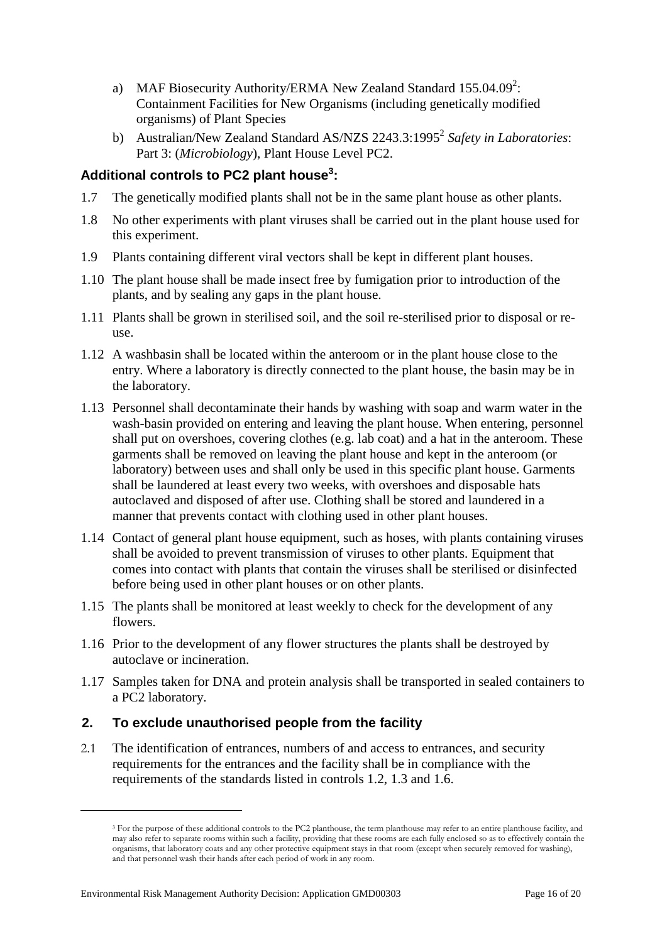- a) MAF Biosecurity Authority/ERMA New Zealand Standard  $155.04.09^2$ : Containment Facilities for New Organisms (including genetically modified organisms) of Plant Species
- b) Australian/New Zealand Standard AS/NZS 2243.3:1995<sup>2</sup> Safety in Laboratories: Part 3: (*Microbiology*), Plant House Level PC2.

# **Additional controls to PC2 plant house<sup>3</sup> :**

- 1.7 The genetically modified plants shall not be in the same plant house as other plants.
- 1.8 No other experiments with plant viruses shall be carried out in the plant house used for this experiment.
- 1.9 Plants containing different viral vectors shall be kept in different plant houses.
- 1.10 The plant house shall be made insect free by fumigation prior to introduction of the plants, and by sealing any gaps in the plant house.
- 1.11 Plants shall be grown in sterilised soil, and the soil re-sterilised prior to disposal or reuse.
- 1.12 A washbasin shall be located within the anteroom or in the plant house close to the entry. Where a laboratory is directly connected to the plant house, the basin may be in the laboratory.
- 1.13 Personnel shall decontaminate their hands by washing with soap and warm water in the wash-basin provided on entering and leaving the plant house. When entering, personnel shall put on overshoes, covering clothes (e.g. lab coat) and a hat in the anteroom. These garments shall be removed on leaving the plant house and kept in the anteroom (or laboratory) between uses and shall only be used in this specific plant house. Garments shall be laundered at least every two weeks, with overshoes and disposable hats autoclaved and disposed of after use. Clothing shall be stored and laundered in a manner that prevents contact with clothing used in other plant houses.
- 1.14 Contact of general plant house equipment, such as hoses, with plants containing viruses shall be avoided to prevent transmission of viruses to other plants. Equipment that comes into contact with plants that contain the viruses shall be sterilised or disinfected before being used in other plant houses or on other plants.
- 1.15 The plants shall be monitored at least weekly to check for the development of any flowers.
- 1.16 Prior to the development of any flower structures the plants shall be destroyed by autoclave or incineration.
- 1.17 Samples taken for DNA and protein analysis shall be transported in sealed containers to a PC2 laboratory.

## **2. To exclude unauthorised people from the facility**

2.1 The identification of entrances, numbers of and access to entrances, and security requirements for the entrances and the facility shall be in compliance with the requirements of the standards listed in controls 1.2, 1.3 and 1.6.

<u>.</u>

<sup>&</sup>lt;sup>3</sup> For the purpose of these additional controls to the PC2 planthouse, the term planthouse may refer to an entire planthouse facility, and may also refer to separate rooms within such a facility, providing that these rooms are each fully enclosed so as to effectively contain the organisms, that laboratory coats and any other protective equipment stays in that room (except when securely removed for washing), and that personnel wash their hands after each period of work in any room.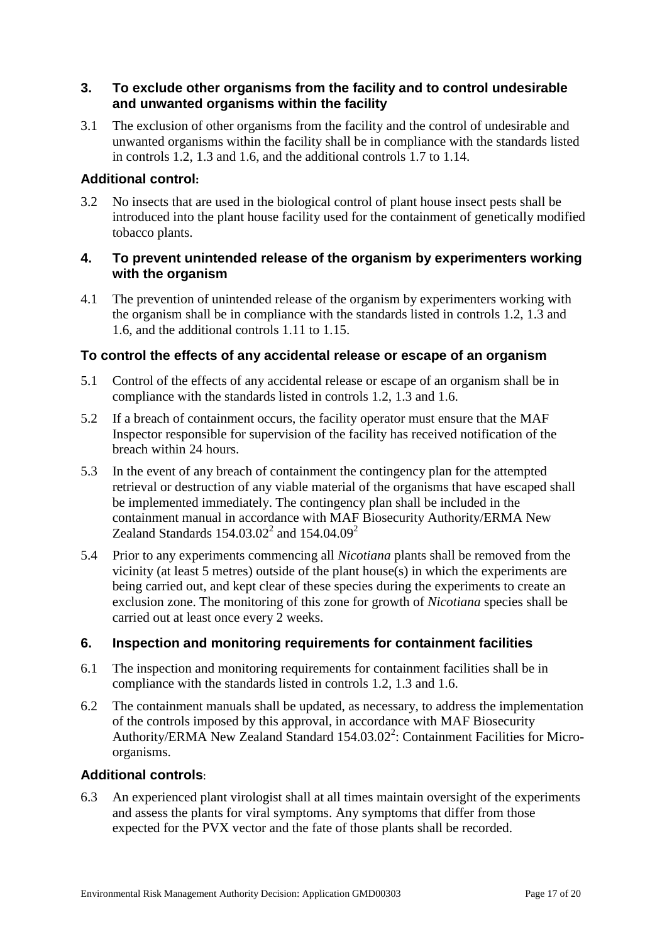#### **3. To exclude other organisms from the facility and to control undesirable and unwanted organisms within the facility**

3.1 The exclusion of other organisms from the facility and the control of undesirable and unwanted organisms within the facility shall be in compliance with the standards listed in controls 1.2, 1.3 and 1.6, and the additional controls 1.7 to 1.14.

#### **Additional control:**

3.2 No insects that are used in the biological control of plant house insect pests shall be introduced into the plant house facility used for the containment of genetically modified tobacco plants.

#### **4. To prevent unintended release of the organism by experimenters working with the organism**

4.1 The prevention of unintended release of the organism by experimenters working with the organism shall be in compliance with the standards listed in controls 1.2, 1.3 and 1.6, and the additional controls 1.11 to 1.15.

#### **To control the effects of any accidental release or escape of an organism**

- 5.1 Control of the effects of any accidental release or escape of an organism shall be in compliance with the standards listed in controls 1.2, 1.3 and 1.6.
- 5.2 If a breach of containment occurs, the facility operator must ensure that the MAF Inspector responsible for supervision of the facility has received notification of the breach within 24 hours.
- 5.3 In the event of any breach of containment the contingency plan for the attempted retrieval or destruction of any viable material of the organisms that have escaped shall be implemented immediately. The contingency plan shall be included in the containment manual in accordance with MAF Biosecurity Authority/ERMA New Zealand Standards  $154.03.02^2$  and  $154.04.09^2$
- 5.4 Prior to any experiments commencing all *Nicotiana* plants shall be removed from the vicinity (at least 5 metres) outside of the plant house(s) in which the experiments are being carried out, and kept clear of these species during the experiments to create an exclusion zone. The monitoring of this zone for growth of *Nicotiana* species shall be carried out at least once every 2 weeks.

## **6. Inspection and monitoring requirements for containment facilities**

- 6.1 The inspection and monitoring requirements for containment facilities shall be in compliance with the standards listed in controls 1.2, 1.3 and 1.6.
- 6.2 The containment manuals shall be updated, as necessary, to address the implementation of the controls imposed by this approval, in accordance with MAF Biosecurity Authority/ERMA New Zealand Standard 154.03.02<sup>2</sup>: Containment Facilities for Microorganisms.

#### **Additional controls**:

6.3 An experienced plant virologist shall at all times maintain oversight of the experiments and assess the plants for viral symptoms. Any symptoms that differ from those expected for the PVX vector and the fate of those plants shall be recorded.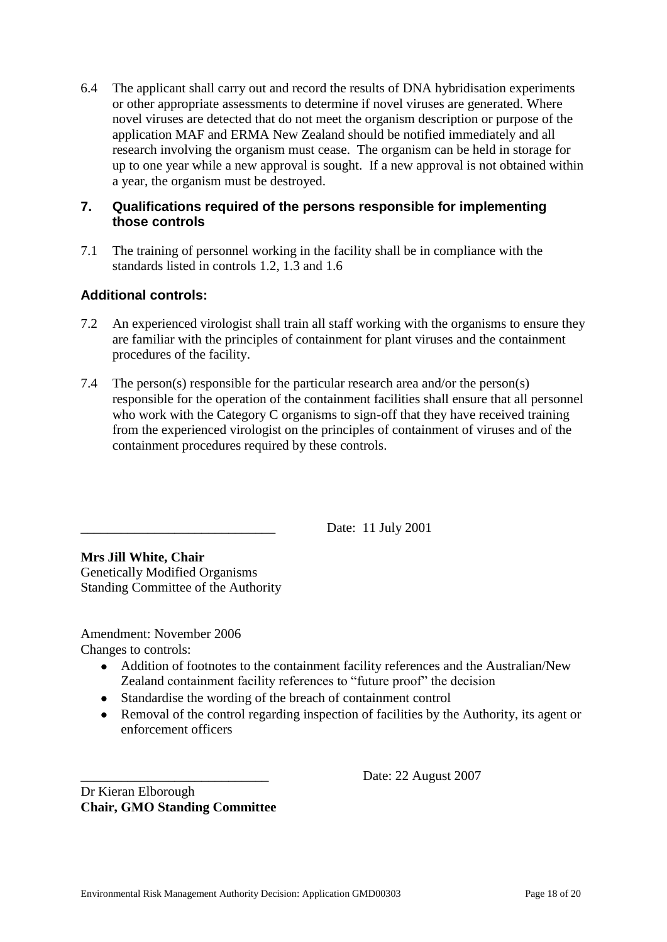6.4 The applicant shall carry out and record the results of DNA hybridisation experiments or other appropriate assessments to determine if novel viruses are generated. Where novel viruses are detected that do not meet the organism description or purpose of the application MAF and ERMA New Zealand should be notified immediately and all research involving the organism must cease. The organism can be held in storage for up to one year while a new approval is sought. If a new approval is not obtained within a year, the organism must be destroyed.

## **7. Qualifications required of the persons responsible for implementing those controls**

7.1 The training of personnel working in the facility shall be in compliance with the standards listed in controls 1.2, 1.3 and 1.6

## **Additional controls:**

- 7.2 An experienced virologist shall train all staff working with the organisms to ensure they are familiar with the principles of containment for plant viruses and the containment procedures of the facility.
- 7.4 The person(s) responsible for the particular research area and/or the person(s) responsible for the operation of the containment facilities shall ensure that all personnel who work with the Category C organisms to sign-off that they have received training from the experienced virologist on the principles of containment of viruses and of the containment procedures required by these controls.

Date: 11 July 2001

**Mrs Jill White, Chair** Genetically Modified Organisms Standing Committee of the Authority

Amendment: November 2006 Changes to controls:

- Addition of footnotes to the containment facility references and the Australian/New Zealand containment facility references to "future proof" the decision
- Standardise the wording of the breach of containment control
- Removal of the control regarding inspection of facilities by the Authority, its agent or enforcement officers

Date: 22 August 2007

Dr Kieran Elborough **Chair, GMO Standing Committee**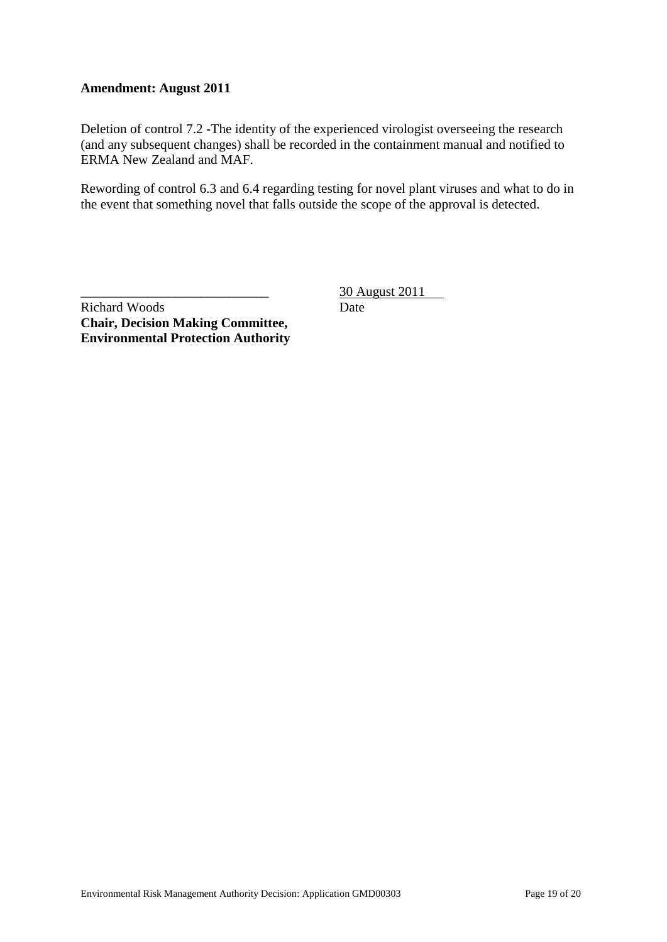#### **Amendment: August 2011**

Deletion of control 7.2 -The identity of the experienced virologist overseeing the research (and any subsequent changes) shall be recorded in the containment manual and notified to ERMA New Zealand and MAF.

Rewording of control 6.3 and 6.4 regarding testing for novel plant viruses and what to do in the event that something novel that falls outside the scope of the approval is detected.

Richard Woods **Chair, Decision Making Committee, Environmental Protection Authority** \_\_\_\_\_\_\_\_\_\_\_\_\_\_\_\_\_\_\_\_\_\_\_\_\_\_\_\_ 30 August 2011